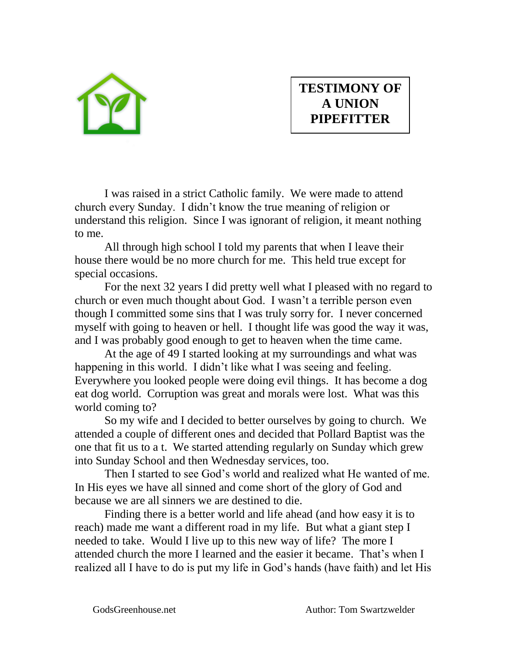

## **TESTIMONY OF A UNION PIPEFITTER**

I was raised in a strict Catholic family. We were made to attend church every Sunday. I didn't know the true meaning of religion or understand this religion. Since I was ignorant of religion, it meant nothing to me.

All through high school I told my parents that when I leave their house there would be no more church for me. This held true except for special occasions.

For the next 32 years I did pretty well what I pleased with no regard to church or even much thought about God. I wasn't a terrible person even though I committed some sins that I was truly sorry for. I never concerned myself with going to heaven or hell. I thought life was good the way it was, and I was probably good enough to get to heaven when the time came.

At the age of 49 I started looking at my surroundings and what was happening in this world. I didn't like what I was seeing and feeling. Everywhere you looked people were doing evil things. It has become a dog eat dog world. Corruption was great and morals were lost. What was this world coming to?

So my wife and I decided to better ourselves by going to church. We attended a couple of different ones and decided that Pollard Baptist was the one that fit us to a t. We started attending regularly on Sunday which grew into Sunday School and then Wednesday services, too.

Then I started to see God's world and realized what He wanted of me. In His eyes we have all sinned and come short of the glory of God and because we are all sinners we are destined to die.

Finding there is a better world and life ahead (and how easy it is to reach) made me want a different road in my life. But what a giant step I needed to take. Would I live up to this new way of life? The more I attended church the more I learned and the easier it became. That's when I realized all I have to do is put my life in God's hands (have faith) and let His